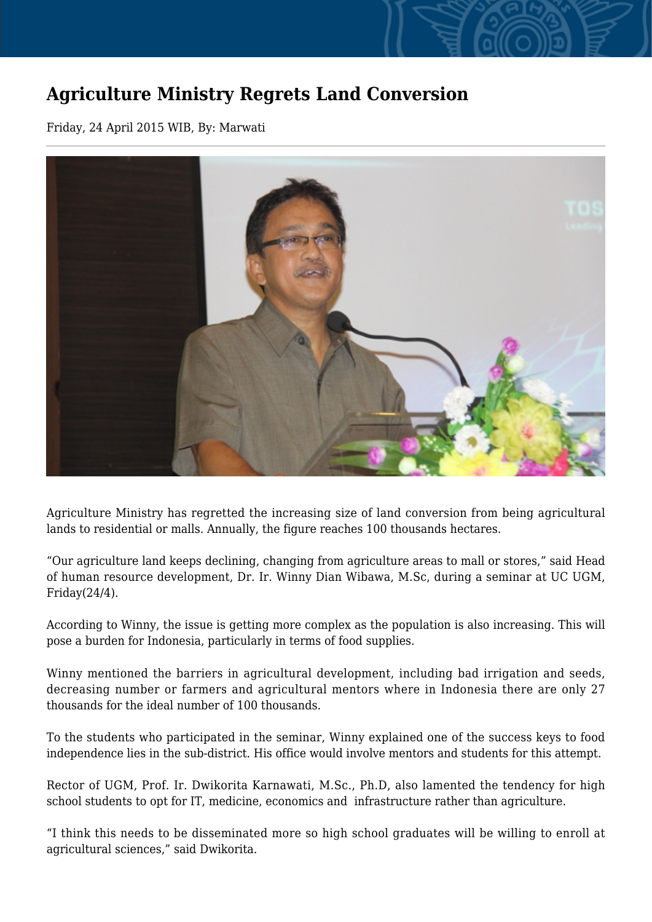## **Agriculture Ministry Regrets Land Conversion**

Friday, 24 April 2015 WIB, By: Marwati



Agriculture Ministry has regretted the increasing size of land conversion from being agricultural lands to residential or malls. Annually, the figure reaches 100 thousands hectares.

"Our agriculture land keeps declining, changing from agriculture areas to mall or stores," said Head of human resource development, Dr. Ir. Winny Dian Wibawa, M.Sc, during a seminar at UC UGM, Friday(24/4).

According to Winny, the issue is getting more complex as the population is also increasing. This will pose a burden for Indonesia, particularly in terms of food supplies.

Winny mentioned the barriers in agricultural development, including bad irrigation and seeds, decreasing number or farmers and agricultural mentors where in Indonesia there are only 27 thousands for the ideal number of 100 thousands.

To the students who participated in the seminar, Winny explained one of the success keys to food independence lies in the sub-district. His office would involve mentors and students for this attempt.

Rector of UGM, Prof. Ir. Dwikorita Karnawati, M.Sc., Ph.D, also lamented the tendency for high school students to opt for IT, medicine, economics and infrastructure rather than agriculture.

"I think this needs to be disseminated more so high school graduates will be willing to enroll at agricultural sciences," said Dwikorita.